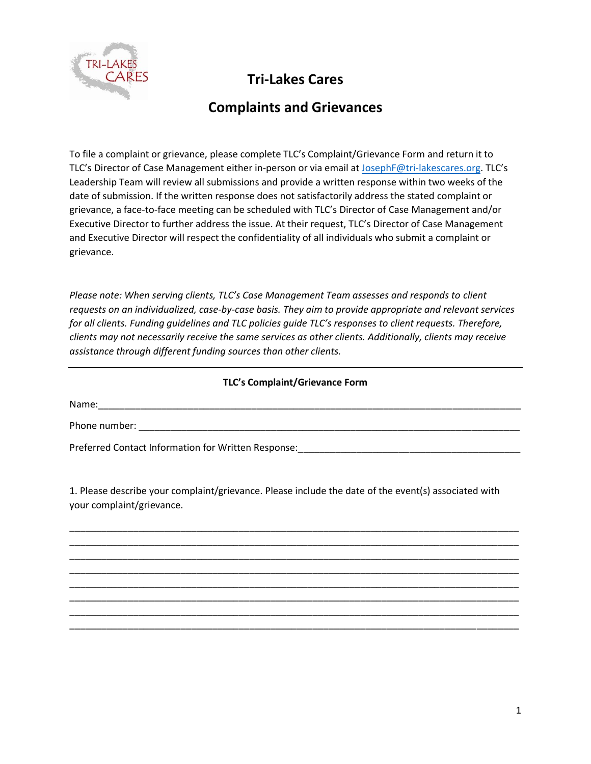

## **Tri-Lakes Cares**

## **Complaints and Grievances**

To file a complaint or grievance, please complete TLC's Complaint/Grievance Form and return it to TLC's Director of Case Management either in-person or via email at JosephF[@tri-lakescares.org.](mailto:operationsdirector@tri-lakescares.org) TLC's Leadership Team will review all submissions and provide a written response within two weeks of the date of submission. If the written response does not satisfactorily address the stated complaint or grievance, a face-to-face meeting can be scheduled with TLC's Director of Case Management and/or Executive Director to further address the issue. At their request, TLC's Director of Case Management and Executive Director will respect the confidentiality of all individuals who submit a complaint or grievance.

*Please note: When serving clients, TLC's Case Management Team assesses and responds to client requests on an individualized, case-by-case basis. They aim to provide appropriate and relevant services for all clients. Funding guidelines and TLC policies guide TLC's responses to client requests. Therefore, clients may not necessarily receive the same services as other clients. Additionally, clients may receive assistance through different funding sources than other clients.* 

## **TLC's Complaint/Grievance Form**

Name:

Phone number:

Preferred Contact Information for Written Response:

1. Please describe your complaint/grievance. Please include the date of the event(s) associated with your complaint/grievance.